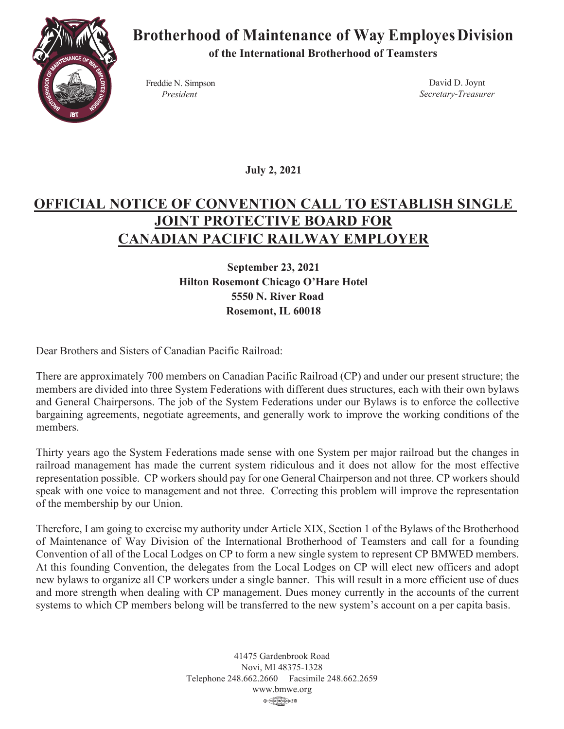

## **Brotherhood of Maintenance of Way EmployesDivision**

**of the International Brotherhood of Teamsters**

Freddie N. Simpson *President*

David D. Joynt *Secretary-Treasurer*

**July 2, 2021**

## **OFFICIAL NOTICE OF CONVENTION CALL TO ESTABLISH SINGLE JOINT PROTECTIVE BOARD FOR CANADIAN PACIFIC RAILWAY EMPLOYER**

**September 23, 2021 Hilton Rosemont Chicago O'Hare Hotel 5550 N. River Road Rosemont, IL 60018**

Dear Brothers and Sisters of Canadian Pacific Railroad:

There are approximately 700 members on Canadian Pacific Railroad (CP) and under our present structure; the members are divided into three System Federations with different dues structures, each with their own bylaws and General Chairpersons. The job of the System Federations under our Bylaws is to enforce the collective bargaining agreements, negotiate agreements, and generally work to improve the working conditions of the members.

Thirty years ago the System Federations made sense with one System per major railroad but the changes in railroad management has made the current system ridiculous and it does not allow for the most effective representation possible. CP workers should pay for one General Chairperson and not three. CP workers should speak with one voice to management and not three. Correcting this problem will improve the representation of the membership by our Union.

Therefore, I am going to exercise my authority under Article XIX, Section 1 of the Bylaws of the Brotherhood of Maintenance of Way Division of the International Brotherhood of Teamsters and call for a founding Convention of all of the Local Lodges on CP to form a new single system to represent CP BMWED members. At this founding Convention, the delegates from the Local Lodges on CP will elect new officers and adopt new bylaws to organize all CP workers under a single banner. This will result in a more efficient use of dues and more strength when dealing with CP management. Dues money currently in the accounts of the current systems to which CP members belong will be transferred to the new system's account on a per capita basis.

> 41475 Gardenbrook Road Novi, MI 48375-1328 Telephone 248.662.2660 Facsimile 248.662.2659 www.bmwe.org@ (TRADES |235 COLNEL) 210